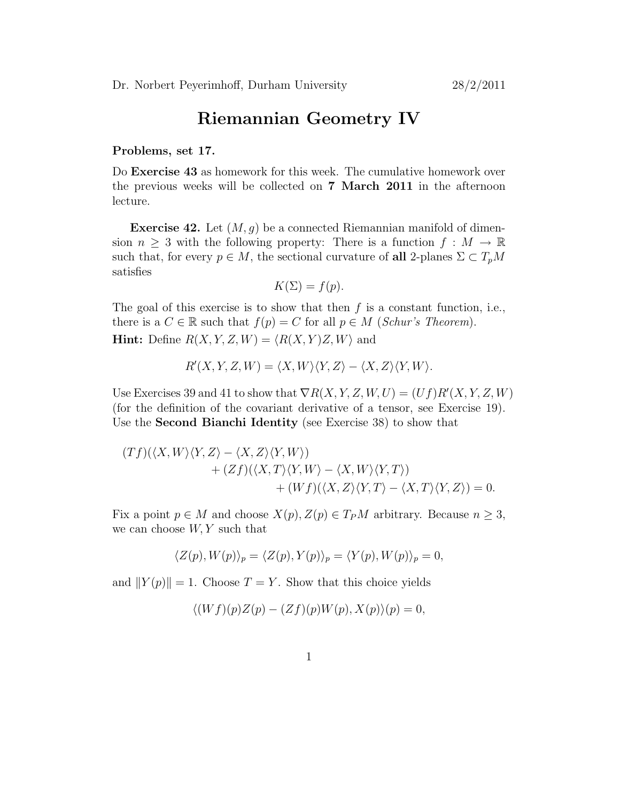## Riemannian Geometry IV

## Problems, set 17.

Do Exercise 43 as homework for this week. The cumulative homework over the previous weeks will be collected on 7 March 2011 in the afternoon lecture.

**Exercise 42.** Let  $(M, g)$  be a connected Riemannian manifold of dimension  $n \geq 3$  with the following property: There is a function  $f : M \to \mathbb{R}$ such that, for every  $p \in M$ , the sectional curvature of all 2-planes  $\Sigma \subset T_pM$ satisfies

$$
K(\Sigma) = f(p).
$$

The goal of this exercise is to show that then  $f$  is a constant function, i.e., there is a  $C \in \mathbb{R}$  such that  $f(p) = C$  for all  $p \in M$  (Schur's Theorem). **Hint:** Define  $R(X, Y, Z, W) = \langle R(X, Y)Z, W \rangle$  and

$$
R'(X, Y, Z, W) = \langle X, W \rangle \langle Y, Z \rangle - \langle X, Z \rangle \langle Y, W \rangle.
$$

Use Exercises 39 and 41 to show that  $\nabla R(X, Y, Z, W, U) = (Uf)R'(X, Y, Z, W)$ (for the definition of the covariant derivative of a tensor, see Exercise 19). Use the Second Bianchi Identity (see Exercise 38) to show that

$$
(Tf)(\langle X, W \rangle \langle Y, Z \rangle - \langle X, Z \rangle \langle Y, W \rangle) + (Zf)(\langle X, T \rangle \langle Y, W \rangle - \langle X, W \rangle \langle Y, T \rangle) + (Wf)(\langle X, Z \rangle \langle Y, T \rangle - \langle X, T \rangle \langle Y, Z \rangle) = 0.
$$

Fix a point  $p \in M$  and choose  $X(p), Z(p) \in T_P M$  arbitrary. Because  $n \geq 3$ , we can choose  $W, Y$  such that

$$
\langle Z(p), W(p) \rangle_p = \langle Z(p), Y(p) \rangle_p = \langle Y(p), W(p) \rangle_p = 0,
$$

and  $||Y(p)|| = 1$ . Choose  $T = Y$ . Show that this choice yields

$$
\langle (Wf)(p)Z(p) - (Zf)(p)W(p), X(p)\rangle(p) = 0,
$$